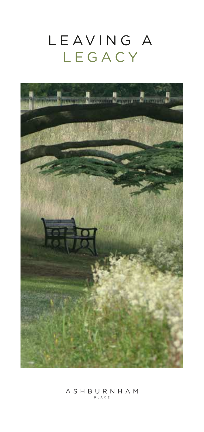# LEAVING A LEGACY



## $A \ S \ H \ B \ \underset{_{\texttt{PLACE}}}{\texttt{UR}} \ N \ H \ A \ M$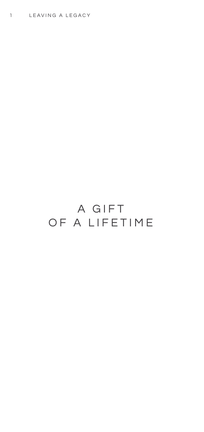### A GIFT OF A LIFETIME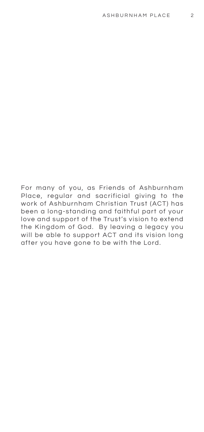For many of you, as Friends of Ashburnham Place, regular and sacrificial giving to the work of Ashburnham Christian Trust (ACT) has been a long-standing and faithful part of your love and support of the Trust's vision to extend the Kingdom of God. By leaving a legacy you will be able to support ACT and its vision long after you have gone to be with the Lord.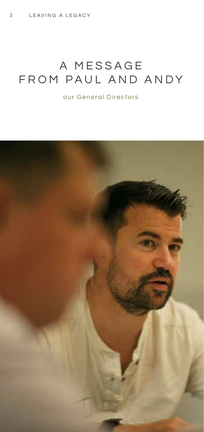### A MESSAGE FROM PAUL AND ANDY

our General Directors

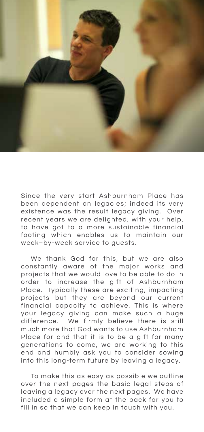

Since the very start Ashburnham Place has been dependent on legacies; indeed its very existence was the result legacy giving. Over recent years we are delighted, with your help, to have got to a more sustainable financial footing which enables us to maintain our week–by-week service to guests.

 We thank God for this, but we are also constantly aware of the major works and projects that we would love to be able to do in order to increase the gift of Ashburnham Place. Typically these are exciting, impacting projects but they are beyond our current financial capacity to achieve. This is where your legacy giving can make such a huge difference. We firmly believe there is still much more that God wants to use Ashburnham Place for and that it is to be a gift for many generations to come, we are working to this end and humbly ask you to consider sowing into this long-term future by leaving a legacy.

 To make this as easy as possible we outline over the next pages the basic legal steps of leaving a legacy over the next pages. We have included a simple form at the back for you to fill in so that we can keep in touch with you.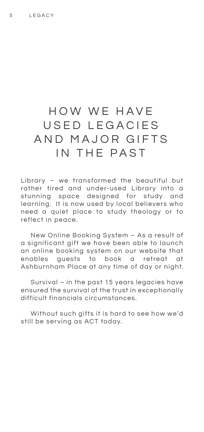#### HOW WE HAVE USED LEGACIES AND MAJOR GIFTS IN THE PAST

Library – we transformed the beautiful but rather tired and under-used Library into a stunning space designed for study and learning. It is now used by local believers who need a quiet place to study theology or to reflect in peace.

 New Online Booking System – As a result of a significant gift we have been able to launch an online booking system on our website that enables guests to book a retreat at Ashburnham Place at any time of day or night.

 Survival – in the past 15 years legacies have ensured the survival of the trust in exceptionally difficult financials circumstances.

 Without such gifts it is hard to see how we'd still be serving as ACT today.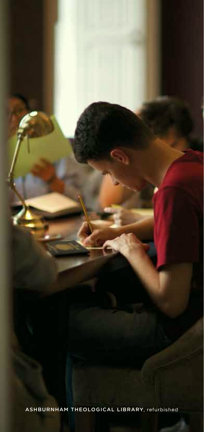ASHBURNHAM THEOLOGICAL LIBRARY, refurbished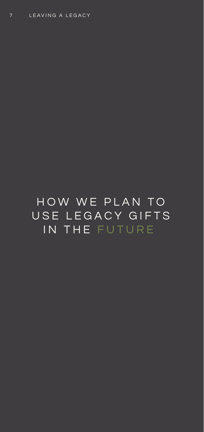HOW WE PLAN TO USE LEGACY GIFTS IN THE FUTURE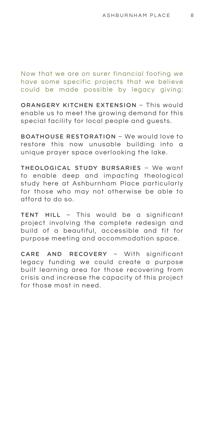Now that we are on surer financial footing we have some specific projects that we believe could be made possible by legacy giving:

ORANGERY KITCHEN EXTENSION – This would enable us to meet the growing demand for this special facility for local people and guests.

BOATHOUSE RESTORATION – We would love to restore this now unusable building into a unique prayer space overlooking the lake.

THEOLOGICAL STUDY BURSARIES – We want to enable deep and impacting theological study here at Ashburnham Place particularly for those who may not otherwise be able to afford to do so.

TENT HILL – This would be a significant project involving the complete redesign and build of a beautiful, accessible and fit for purpose meeting and accommodation space.

CARE AND RECOVERY – With significant legacy funding we could create a purpose built learning area for those recovering from crisis and increase the capacity of this project for those most in need.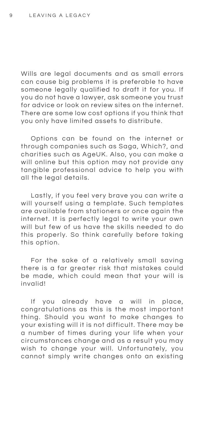Wills are legal documents and as small errors can cause big problems it is preferable to have someone legally qualified to draft it for you. If you do not have a lawyer, ask someone you trust for advice or look on review sites on the internet. There are some low cost options if you think that you only have limited assets to distribute.

 Options can be found on the internet or through companies such as Saga, Which?, and charities such as AgeUK. Also, you can make a will online but this option may not provide any tangible professional advice to help you with all the legal details.

 Lastly, if you feel very brave you can write a will yourself using a template. Such templates are available from stationers or once again the internet. It is perfectly legal to write your own will but few of us have the skills needed to do this properly. So think carefully before taking this option.

 For the sake of a relatively small saving there is a far greater risk that mistakes could be made, which could mean that your will is invalid!

 If you already have a will in place, congratulations as this is the most important thing. Should you want to make changes to your existing will it is not difficult. There may be a number of times during your life when your circumstances change and as a result you may wish to change your will. Unfortunately, you cannot simply write changes onto an existing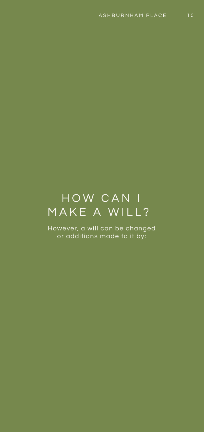# HOW CAN I MAKE A WILL?

However, a will can be changed or additions made to it by: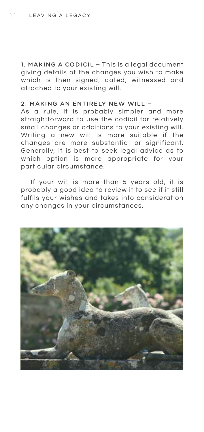1. MAKING A CODICIL – This is a legal document giving details of the changes you wish to make which is then signed, dated, witnessed and attached to your existing will.

#### 2. MAKING AN ENTIRELY NEW WILL –

As a rule, it is probably simpler and more straightforward to use the codicil for relatively small changes or additions to your existing will. Writing a new will is more suitable if the changes are more substantial or significant. Generally, it is best to seek legal advice as to which option is more appropriate for your particular circumstance.

 If your will is more than 5 years old, it is probably a good idea to review it to see if it still fulfils your wishes and takes into consideration any changes in your circumstances.

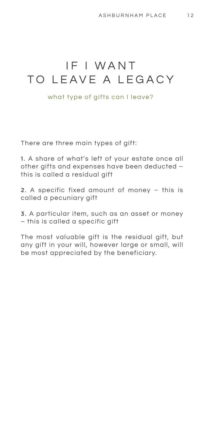#### IF I WANT TO LEAVE A LEGACY

what type of gifts can I leave?

There are three main types of gift:

1. A share of what's left of your estate once all other gifts and expenses have been deducted – this is called a residual gift

2. A specific fixed amount of money – this is called a pecuniary gift

3. A particular item, such as an asset or money – this is called a specific gift

The most valuable gift is the residual gift, but any gift in your will, however large or small, will be most appreciated by the beneficiary.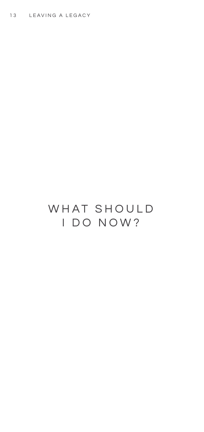### WHAT SHOULD I DO NOW?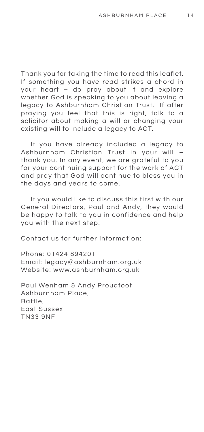Thank you for taking the time to read this leaflet. If something you have read strikes a chord in your heart – do pray about it and explore whether God is speaking to you about leaving a legacy to Ashburnham Christian Trust. If after praying you feel that this is right, talk to a solicitor about making a will or changing your existing will to include a legacy to ACT.

 If you have already included a legacy to Ashburnham Christian Trust in your will – thank you. In any event, we are grateful to you for your continuing support for the work of ACT and pray that God will continue to bless you in the days and years to come.

 If you would like to discuss this first with our General Directors, Paul and Andy, they would be happy to talk to you in confidence and help you with the next step.

Contact us for further information:

Phone: 01424 894201 Email: legacy@ashburnham.org.uk Website: www.ashburnham.org.uk

Paul Wenham & Andy Proudfoot Ashburnham Place, Battle, East Sussex TN33 9NF